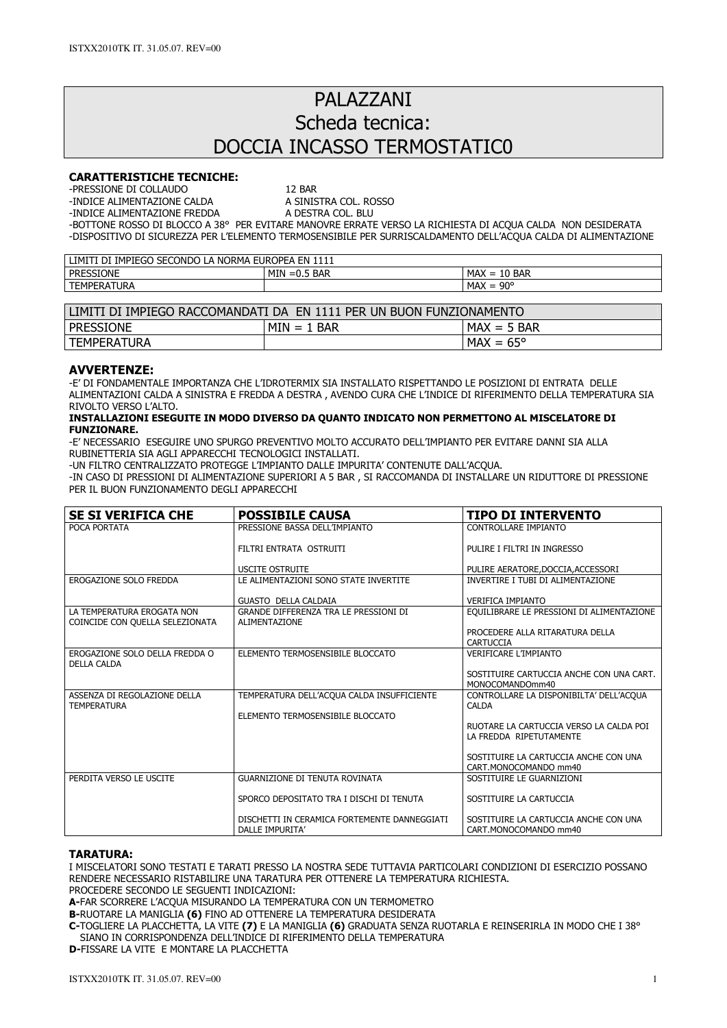# PAI A77ANI Scheda tecnica: DOCCIA INCASSO TERMOSTATIC0

## CARATTERISTICHE TECNICHE:

-PRESSIONE DI COLLAUDO<br>-INDICE ALIMENTAZIONE CALDA A SINISTRA COL. ROSSO

-INDICE ALIMENTAZIONE CALDA A SINISTRA COL. ROSSO -INDICE ALIMENTAZIONE FREDDA

-BOTTONE ROSSO DI BLOCCO A 38° PER EVITARE MANOVRE ERRATE VERSO LA RICHIESTA DI ACQUA CALDA NON DESIDERATA -DISPOSITIVO DI SICUREZZA PER L'ELEMENTO TERMOSENSIBILE PER SURRISCALDAMENTO DELL'ACQUA CALDA DI ALIMENTAZIONE

| SECONDO L<br>IMPIEGO<br><b>EUROPEA</b><br>، EN<br>LIMITI<br><b>NORMA</b><br>DI<br>ட் |                   |                                                        |  |
|--------------------------------------------------------------------------------------|-------------------|--------------------------------------------------------|--|
| <b>PRESSIONE</b>                                                                     | MIN<br>$=0.5$ BAR | <b>MAX</b><br>10 BAR<br>$=$<br>ιU                      |  |
| <b>TEMPERATURA</b>                                                                   |                   | $90^{\circ}$<br><b>MAX</b><br>$\overline{\phantom{0}}$ |  |

| EN 1111 PER UN BUON FUNZIONAMENTO<br>LIMITI DI IMPIEGO RACCOMANDATI DA |               |                    |  |  |
|------------------------------------------------------------------------|---------------|--------------------|--|--|
| PRESSIONE                                                              | $MIN = 1$ BAR | $MAX = 5$ BAR      |  |  |
| <b>TEMPERATURA</b>                                                     |               | $MAX = 65^{\circ}$ |  |  |

## AVVERTENZE:

-E' DI FONDAMENTALE IMPORTANZA CHE L'IDROTERMIX SIA INSTALLATO RISPETTANDO LE POSIZIONI DI ENTRATA DELLE ALIMENTAZIONI CALDA A SINISTRA E FREDDA A DESTRA , AVENDO CURA CHE L'INDICE DI RIFERIMENTO DELLA TEMPERATURA SIA RIVOLTO VERSO L'ALTO.

#### INSTALLAZIONI ESEGUITE IN MODO DIVERSO DA QUANTO INDICATO NON PERMETTONO AL MISCELATORE DI FUNZIONARE.

-E' NECESSARIO ESEGUIRE UNO SPURGO PREVENTIVO MOLTO ACCURATO DELL'IMPIANTO PER EVITARE DANNI SIA ALLA RUBINETTERIA SIA AGLI APPARECCHI TECNOLOGICI INSTALLATI.

-UN FILTRO CENTRALIZZATO PROTEGGE L'IMPIANTO DALLE IMPURITA' CONTENUTE DALL'ACQUA.

-IN CASO DI PRESSIONI DI ALIMENTAZIONE SUPERIORI A 5 BAR , SI RACCOMANDA DI INSTALLARE UN RIDUTTORE DI PRESSIONE PER IL BUON FUNZIONAMENTO DEGLI APPARECCHI

| <b>SE SI VERIFICA CHE</b>                                     | <b>POSSIBILE CAUSA</b>                                          | <b>TIPO DI INTERVENTO</b>                                          |
|---------------------------------------------------------------|-----------------------------------------------------------------|--------------------------------------------------------------------|
| POCA PORTATA                                                  | PRESSIONE BASSA DELL'IMPIANTO                                   | CONTROLLARE IMPIANTO                                               |
|                                                               | FILTRI ENTRATA OSTRUITI                                         | PULIRE I FILTRI IN INGRESSO                                        |
|                                                               | <b>USCITE OSTRUITE</b>                                          | PULIRE AERATORE, DOCCIA, ACCESSORI                                 |
| EROGAZIONE SOLO FREDDA                                        | LE ALIMENTAZIONI SONO STATE INVERTITE                           | INVERTIRE I TUBI DI ALIMENTAZIONE                                  |
|                                                               | <b>GUASTO DELLA CALDAIA</b>                                     | <b>VERIFICA IMPIANTO</b>                                           |
| LA TEMPERATURA EROGATA NON<br>COINCIDE CON OUELLA SELEZIONATA | GRANDE DIFFERENZA TRA LE PRESSIONI DI<br><b>ALIMENTAZIONE</b>   | EQUILIBRARE LE PRESSIONI DI ALIMENTAZIONE                          |
|                                                               |                                                                 | PROCEDERE ALLA RITARATURA DELLA<br>CARTUCCIA                       |
| EROGAZIONE SOLO DELLA FREDDA O<br><b>DELLA CALDA</b>          | ELEMENTO TERMOSENSIBILE BLOCCATO                                | <b>VERIFICARE L'IMPIANTO</b>                                       |
|                                                               |                                                                 | SOSTITUIRE CARTUCCIA ANCHE CON UNA CART.<br>MONOCOMANDOmm40        |
| ASSENZA DI REGOLAZIONE DELLA<br><b>TEMPERATURA</b>            | TEMPERATURA DELL'ACOUA CALDA INSUFFICIENTE                      | CONTROLLARE LA DISPONIBILTA' DELL'ACOUA<br><b>CALDA</b>            |
|                                                               | ELEMENTO TERMOSENSIBILE BLOCCATO                                |                                                                    |
|                                                               |                                                                 | RUOTARE LA CARTUCCIA VERSO LA CALDA POI<br>LA FREDDA RIPETUTAMENTE |
|                                                               |                                                                 | SOSTITUIRE LA CARTUCCIA ANCHE CON UNA<br>CART.MONOCOMANDO mm40     |
| PERDITA VERSO LE USCITE                                       | <b>GUARNIZIONE DI TENUTA ROVINATA</b>                           | SOSTITUIRE LE GUARNIZIONI                                          |
|                                                               | SPORCO DEPOSITATO TRA I DISCHI DI TENUTA                        | SOSTITUIRE LA CARTUCCIA                                            |
|                                                               | DISCHETTI IN CERAMICA FORTEMENTE DANNEGGIATI<br>DALLE IMPURITA' | SOSTITUIRE LA CARTUCCIA ANCHE CON UNA<br>CART.MONOCOMANDO mm40     |

## TARATURA:

I MISCELATORI SONO TESTATI E TARATI PRESSO LA NOSTRA SEDE TUTTAVIA PARTICOLARI CONDIZIONI DI ESERCIZIO POSSANO RENDERE NECESSARIO RISTABILIRE UNA TARATURA PER OTTENERE LA TEMPERATURA RICHIESTA.

PROCEDERE SECONDO LE SEGUENTI INDICAZIONI:

A-FAR SCORRERE L'ACQUA MISURANDO LA TEMPERATURA CON UN TERMOMETRO

B-RUOTARE LA MANIGLIA (6) FINO AD OTTENERE LA TEMPERATURA DESIDERATA

C-TOGLIERE LA PLACCHETTA, LA VITE (7) E LA MANIGLIA (6) GRADUATA SENZA RUOTARLA E REINSERIRLA IN MODO CHE I 38° SIANO IN CORRISPONDENZA DELL'INDICE DI RIFERIMENTO DELLA TEMPERATURA

D-FISSARE LA VITE E MONTARE LA PLACCHETTA